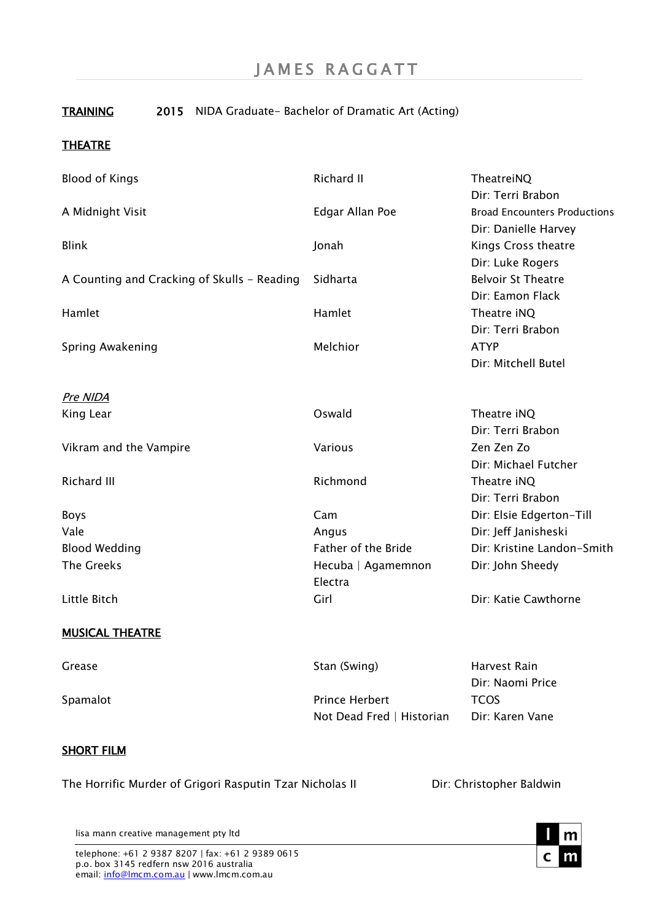# TRAINING 2015 NIDA Graduate- Bachelor of Dramatic Art (Acting)

### **THEATRE**

| <b>Blood of Kings</b>                       | Richard II            | TheatreiNQ                          |
|---------------------------------------------|-----------------------|-------------------------------------|
|                                             |                       | Dir: Terri Brabon                   |
| A Midnight Visit                            | Edgar Allan Poe       | <b>Broad Encounters Productions</b> |
|                                             |                       | Dir: Danielle Harvey                |
| <b>Blink</b>                                | Jonah                 | Kings Cross theatre                 |
|                                             |                       | Dir: Luke Rogers                    |
| A Counting and Cracking of Skulls - Reading | Sidharta              | <b>Belvoir St Theatre</b>           |
|                                             |                       | Dir: Eamon Flack                    |
| Hamlet                                      | Hamlet                | Theatre iNQ                         |
|                                             |                       | Dir: Terri Brabon                   |
| Spring Awakening                            | Melchior              | <b>ATYP</b>                         |
|                                             |                       | Dir: Mitchell Butel                 |
| Pre NIDA                                    |                       |                                     |
| King Lear                                   | Oswald                | Theatre iNQ                         |
|                                             |                       | Dir: Terri Brabon                   |
| Vikram and the Vampire                      | Various               | Zen Zen Zo                          |
|                                             |                       | Dir: Michael Futcher                |
| <b>Richard III</b>                          | Richmond              | Theatre iNQ                         |
|                                             |                       | Dir: Terri Brabon                   |
| Boys                                        | Cam                   | Dir: Elsie Edgerton-Till            |
| Vale                                        | Angus                 | Dir: Jeff Janisheski                |
| <b>Blood Wedding</b>                        | Father of the Bride   | Dir: Kristine Landon-Smith          |
| <b>The Greeks</b>                           | Hecuba   Agamemnon    | Dir: John Sheedy                    |
|                                             | Electra               |                                     |
| Little Bitch                                | Girl                  | Dir: Katie Cawthorne                |
| <b>MUSICAL THEATRE</b>                      |                       |                                     |
| Grease                                      | Stan (Swing)          | Harvest Rain                        |
|                                             |                       | Dir: Naomi Price                    |
| Spamalot                                    | <b>Prince Herbert</b> | <b>TCOS</b>                         |

#### SHORT FILM

The Horrific Murder of Grigori Rasputin Tzar Nicholas II Dir: Christopher Baldwin

Not Dead Fred | Historian Dir: Karen Vane

lisa mann creative management pty ltd